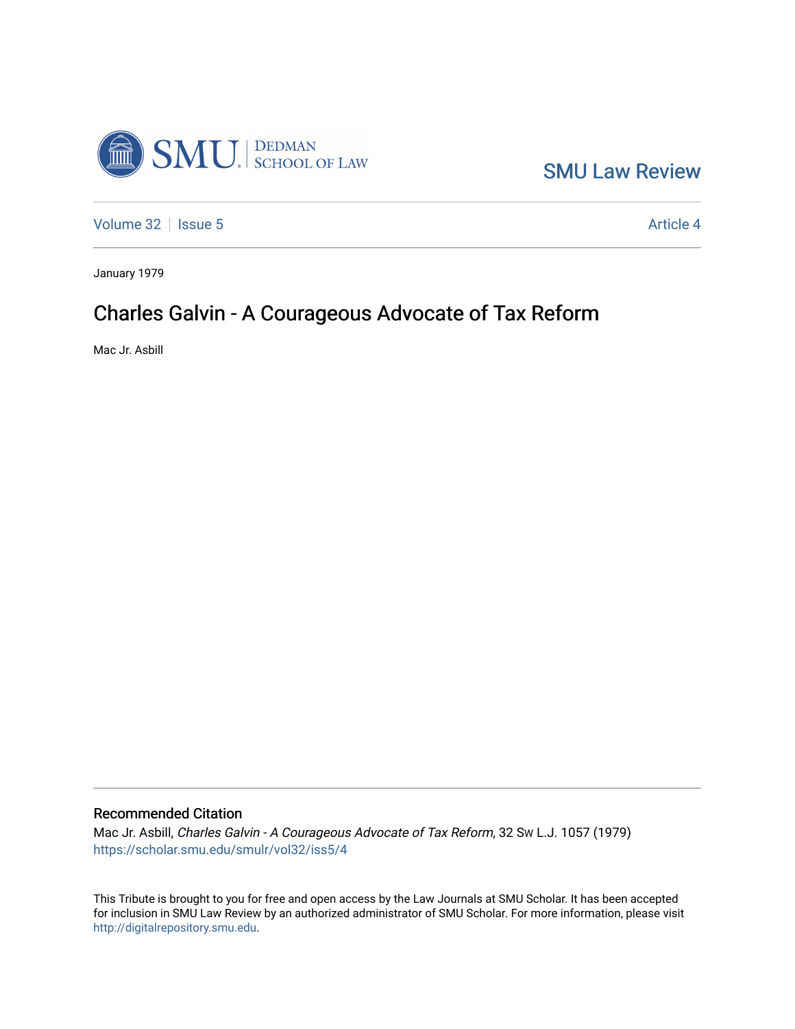

[SMU Law Review](https://scholar.smu.edu/smulr) 

[Volume 32](https://scholar.smu.edu/smulr/vol32) | [Issue 5](https://scholar.smu.edu/smulr/vol32/iss5) Article 4

January 1979

## Charles Galvin - A Courageous Advocate of Tax Reform

Mac Jr. Asbill

## Recommended Citation

Mac Jr. Asbill, Charles Galvin - A Courageous Advocate of Tax Reform, 32 SW L.J. 1057 (1979) [https://scholar.smu.edu/smulr/vol32/iss5/4](https://scholar.smu.edu/smulr/vol32/iss5/4?utm_source=scholar.smu.edu%2Fsmulr%2Fvol32%2Fiss5%2F4&utm_medium=PDF&utm_campaign=PDFCoverPages) 

This Tribute is brought to you for free and open access by the Law Journals at SMU Scholar. It has been accepted for inclusion in SMU Law Review by an authorized administrator of SMU Scholar. For more information, please visit [http://digitalrepository.smu.edu.](http://digitalrepository.smu.edu/)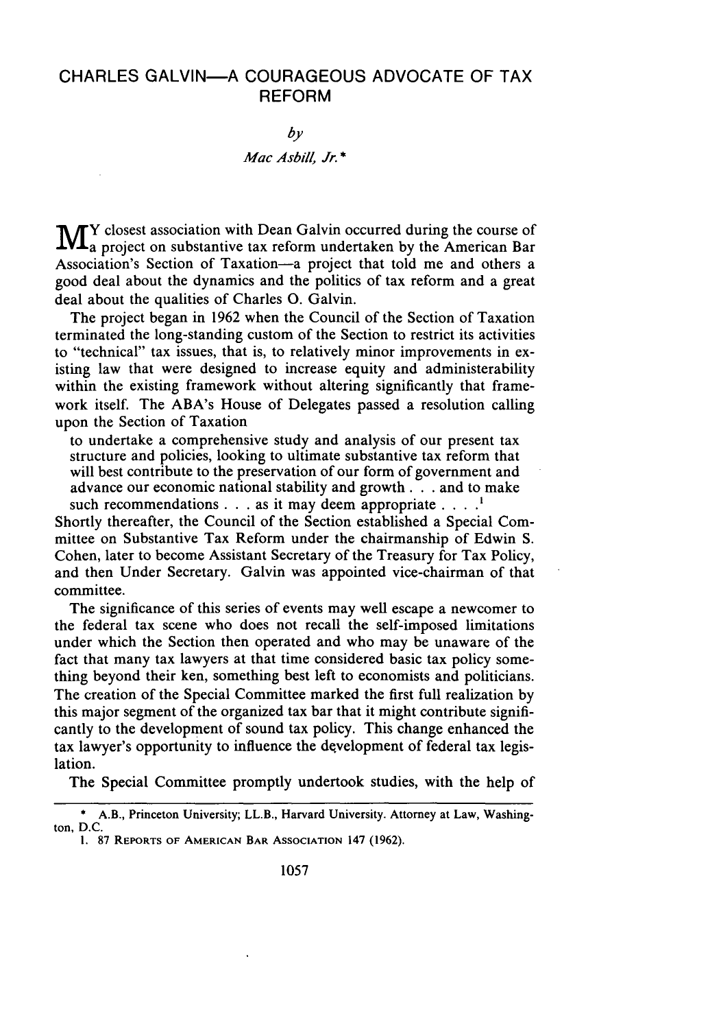## CHARLES GALVIN-A COURAGEOUS ADVOCATE OF TAX REFORM

*by*

## *Mac Asbill, Jr. \**

 $\blacksquare$   $\blacksquare$  Y closest association with Dean Galvin occurred during the course of a project on substantive tax reform undertaken by the American Bar Association's Section of Taxation-a project that told me and others a good deal about the dynamics and the politics of tax reform and a great deal about the qualities of Charles **0.** Galvin.

The project began in 1962 when the Council of the Section of Taxation terminated the long-standing custom of the Section to restrict its activities to "technical" tax issues, that is, to relatively minor improvements in existing law that were designed to increase equity and administerability within the existing framework without altering significantly that framework itself. The ABA's House of Delegates passed a resolution calling upon the Section of Taxation

to undertake a comprehensive study and analysis of our present tax structure and policies, looking to ultimate substantive tax reform that will best contribute to the preservation of our form of government and advance our economic national stability and growth. **. .** and to make such recommendations **. . .** as it may deem appropriate **.... '**

Shortly thereafter, the Council of the Section established a Special Committee on Substantive Tax Reform under the chairmanship of Edwin S. Cohen, later to become Assistant Secretary of the Treasury for Tax Policy, and then Under Secretary. Galvin was appointed vice-chairman of that committee.

The significance of this series of events may well escape a newcomer to the federal tax scene who does not recall the self-imposed limitations under which the Section then operated and who may be unaware of the fact that many tax lawyers at that time considered basic tax policy something beyond their ken, something best left to economists and politicians. The creation of the Special Committee marked the first full realization by this major segment of the organized tax bar that it might contribute significantly to the development of sound tax policy. This change enhanced the tax lawyer's opportunity to influence the development of federal tax legislation.

The Special Committee promptly undertook studies, with the help of

**<sup>\*</sup>** A.B., Princeton University; LL.B., Harvard University. Attorney at Law, Washington, D.C.

**<sup>1. 87</sup> REPORTS OF AMERICAN BAR ASSOCIATION** 147 (1962).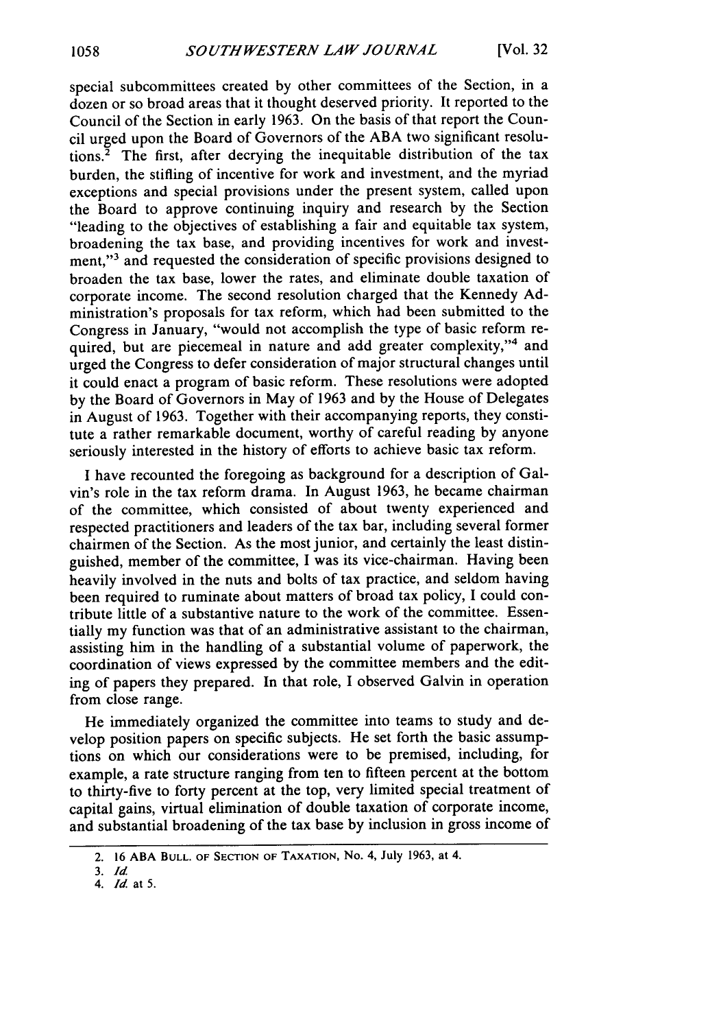special subcommittees created **by** other committees of the Section, in a dozen or so broad areas that it thought deserved priority. It reported to the Council of the Section in early **1963.** On the basis of that report the Council urged upon the Board of Governors of the **ABA** two significant resolutions.2 The first, after decrying the inequitable distribution of the tax burden, the stifling of incentive for work and investment, and the myriad exceptions and special provisions under the present system, called upon the Board to approve continuing inquiry and research **by** the Section "leading to the objectives of establishing a fair and equitable tax system, broadening the tax base, and providing incentives for work and investment,"<sup>3</sup> and requested the consideration of specific provisions designed to broaden the tax base, lower the rates, and eliminate double taxation of corporate income. The second resolution charged that the Kennedy **Ad**ministration's proposals for tax reform, which had been submitted to the Congress in January, "would not accomplish the type of basic reform required, but are piecemeal in nature and add greater complexity,"<sup>4</sup> and urged the Congress to defer consideration of major structural changes until it could enact a program of basic reform. These resolutions were adopted **by** the Board of Governors in May of **1963** and **by** the House of Delegates in August of **1963.** Together with their accompanying reports, they constitute a rather remarkable document, worthy of careful reading **by** anyone seriously interested in the history of efforts to achieve basic tax reform.

I have recounted the foregoing as background for a description of Galvin's role in the tax reform drama. In August 1963, he became chairman of the committee, which consisted of about twenty experienced and respected practitioners and leaders of the tax bar, including several former chairmen of the Section. As the most junior, and certainly the least distinguished, member of the committee, I was its vice-chairman. Having been heavily involved in the nuts and bolts of tax practice, and seldom having been required to ruminate about matters of broad tax policy, I could contribute little of a substantive nature to the work of the committee. Essentially my function was that of an administrative assistant to the chairman, assisting him in the handling of a substantial volume of paperwork, the coordination of views expressed by the committee members and the editing of papers they prepared. In that role, I observed Galvin in operation from close range.

He immediately organized the committee into teams to study and develop position papers on specific subjects. He set forth the basic assumptions on which our considerations were to be premised, including, for example, a rate structure ranging from ten to fifteen percent at the bottom to thirty-five to forty percent at the top, very limited special treatment of capital gains, virtual elimination of double taxation of corporate income, and substantial broadening of the tax base by inclusion in gross income of

<sup>2. 16</sup> **ABA BULL. OF SECTION** OF **TAXATION, No.** 4, July 1963, at 4.

*<sup>3.</sup> Id*

*<sup>4.</sup> Id.* at 5.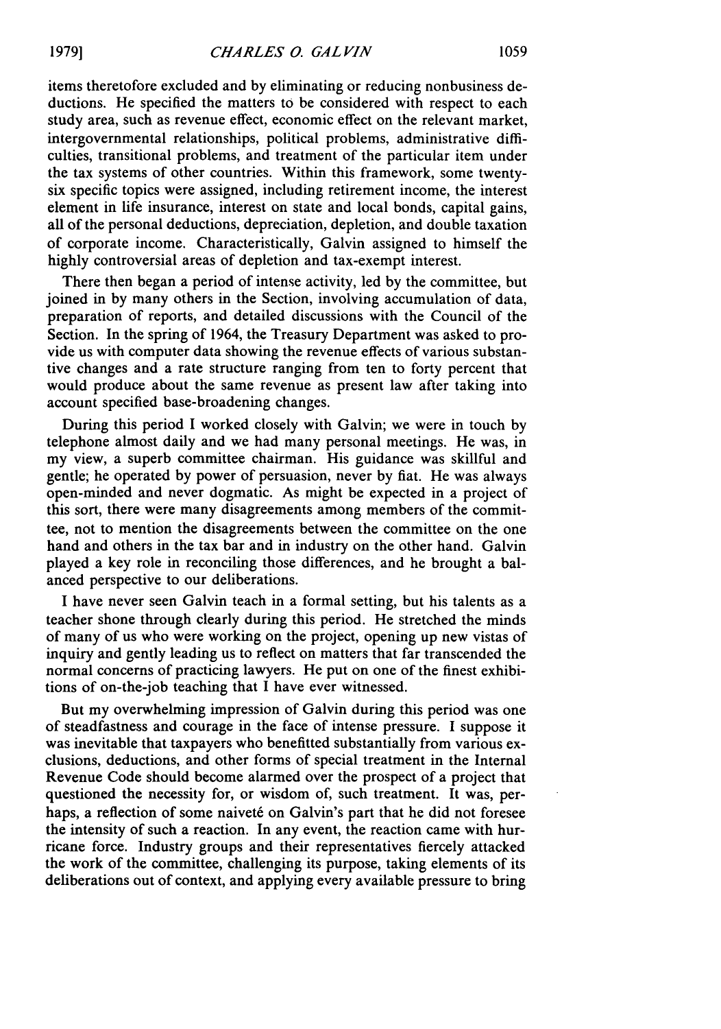items theretofore excluded and by eliminating or reducing nonbusiness deductions. He specified the matters to be considered with respect to each study area, such as revenue effect, economic effect on the relevant market, intergovernmental relationships, political problems, administrative difficulties, transitional problems, and treatment of the particular item under the tax systems of other countries. Within this framework, some twentysix specific topics were assigned, including retirement income, the interest element in life insurance, interest on state and local bonds, capital gains, all of the personal deductions, depreciation, depletion, and double taxation

There then began a period of intense activity, led by the committee, but joined in by many others in the Section, involving accumulation of data, preparation of reports, and detailed discussions with the Council of the Section. In the spring of 1964, the Treasury Department was asked to provide us with computer data showing the revenue effects of various substantive changes and a rate structure ranging from ten to forty percent that would produce about the same revenue as present law after taking into account specified base-broadening changes.

of corporate income. Characteristically, Galvin assigned to himself the

highly controversial areas of depletion and tax-exempt interest.

During this period I worked closely with Galvin; we were in touch by telephone almost daily and we had many personal meetings. He was, in my view, a superb committee chairman. His guidance was skillful and gentle; he operated by power of persuasion, never by fiat. He was always open-minded and never dogmatic. As might be expected in a project of this sort, there were many disagreements among members of the committee, not to mention the disagreements between the committee on the one hand and others in the tax bar and in industry on the other hand. Galvin played a key role in reconciling those differences, and he brought a balanced perspective to our deliberations.

I have never seen Galvin teach in a formal setting, but his talents as a teacher shone through clearly during this period. He stretched the minds of many of us who were working on the project, opening up new vistas of inquiry and gently leading us to reflect on matters that far transcended the normal concerns of practicing lawyers. He put on one of the finest exhibitions of on-the-job teaching that I have ever witnessed.

But my overwhelming impression of Galvin during this period was one of steadfastness and courage in the face of intense pressure. I suppose it was inevitable that taxpayers who benefitted substantially from various exclusions, deductions, and other forms of special treatment in the Internal Revenue Code should become alarmed over the prospect of a project that questioned the necessity for, or wisdom of, such treatment. It was, perhaps, a reflection of some naiveté on Galvin's part that he did not foresee the intensity of such a reaction. In any event, the reaction came with hurricane force. Industry groups and their representatives fiercely attacked the work of the committee, challenging its purpose, taking elements of its deliberations out of context, and applying every available pressure to bring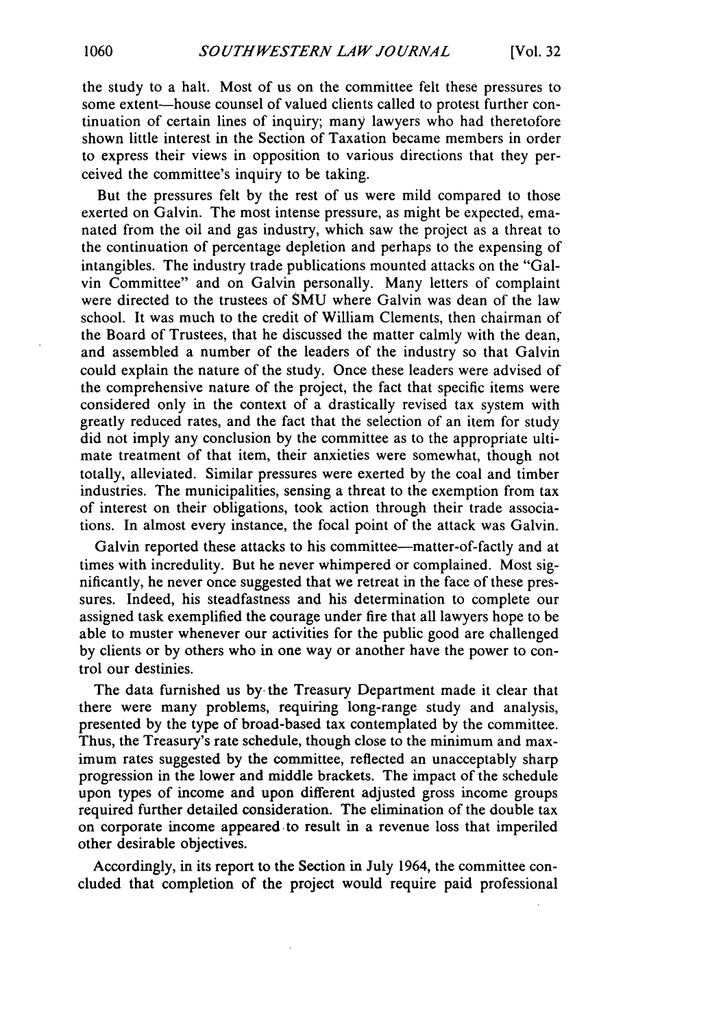the study to a halt. Most of us on the committee felt these pressures to some extent-house counsel of valued clients called to protest further continuation of certain lines of inquiry; many lawyers who had theretofore shown little interest in the Section of Taxation became members in order to express their views in opposition to various directions that they perceived the committee's inquiry to be taking.

But the pressures felt by the rest of us were mild compared to those exerted on Galvin. The most intense pressure, as might be expected, emanated from the oil and gas industry, which saw the project as a threat to the continuation of percentage depletion and perhaps to the expensing of intangibles. The industry trade publications mounted attacks on the "Galvin Committee" and on Galvin personally. Many letters of complaint were directed to the trustees of SMU where Galvin was dean of the law school. It was much to the credit of William Clements, then chairman of the Board of Trustees, that he discussed the matter calmly with the dean, and assembled a number of the leaders of the industry so that Galvin could explain the nature of the study. Once these leaders were advised of the comprehensive nature of the project, the fact that specific items were considered only in the context of a drastically revised tax system with greatly reduced rates, and the fact that the selection of an item for study did not imply any conclusion by the committee as to the appropriate ultimate treatment of that item, their anxieties were somewhat, though not totally, alleviated. Similar pressures were exerted by the coal and timber industries. The municipalities, sensing a threat to the exemption from tax of interest on their obligations, took action through their trade associations. In almost every instance, the focal point of the attack was Galvin.

Galvin reported these attacks to his committee—matter-of-factly and at times with incredulity. But he never whimpered or complained. Most significantly, he never once suggested that we retreat in the face of these pressures. Indeed, his steadfastness and his determination to complete our assigned task exemplified the courage under fire that all lawyers hope to be able to muster whenever our activities for the public good are challenged by clients or by others who in one way or another have the power to control our destinies.

The data furnished us **by.** the Treasury Department made it clear that there were many problems, requiring long-range study and analysis, presented by the type of broad-based tax contemplated by the committee. Thus, the Treasury's rate schedule, though close to the minimum and maximum rates suggested by the committee, reflected an unacceptably sharp progression in the lower and middle brackets. The impact of the schedule upon types of income and upon different adjusted gross income groups required further detailed consideration. The elimination of the double tax on corporate income appeared to result in a revenue loss that imperiled other desirable objectives.

Accordingly, in its report to the Section in July 1964, the committee concluded that completion of the project would require paid professional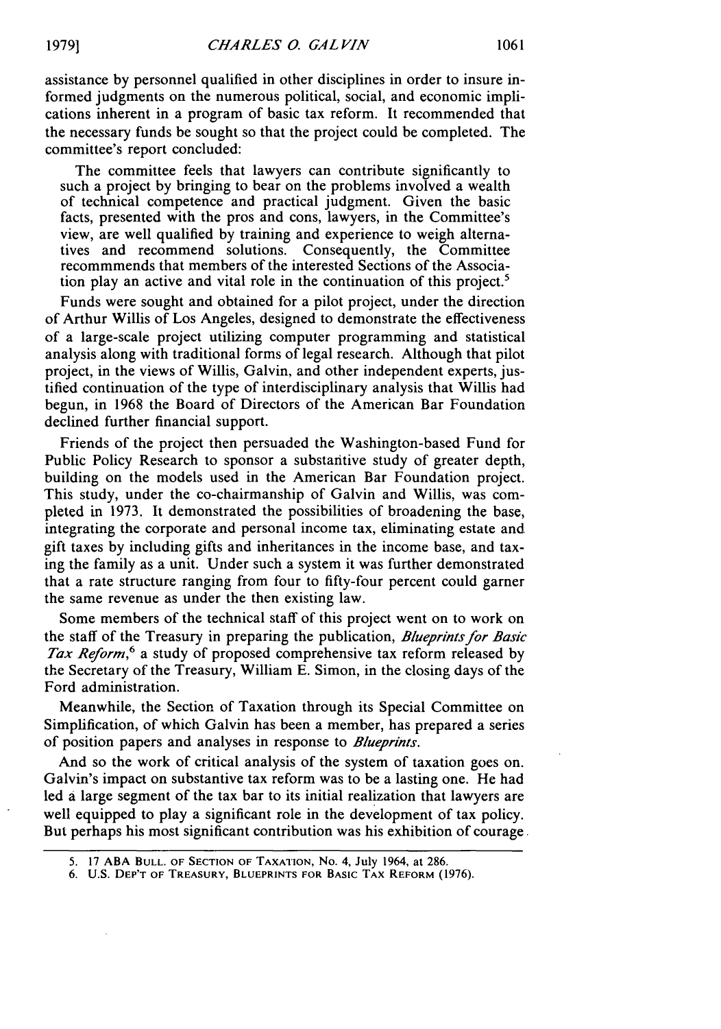assistance by personnel qualified in other disciplines in order to insure informed judgments on the numerous political, social, and economic implications inherent in a program of basic tax reform. It recommended that the necessary funds be sought so that the project could be completed. The committee's report concluded:

The committee feels that lawyers can contribute significantly to such a project by bringing to bear on the problems involved a wealth of technical competence and practical judgment. Given the basic facts, presented with the pros and cons, lawyers, in the Committee's view, are well qualified by training and experience to weigh alternatives and recommend solutions. Consequently, the Committee recommmends that members of the interested Sections of the Association play an active and vital role in the continuation of this project.'

Funds were sought and obtained for a pilot project, under the direction of Arthur Willis of Los Angeles, designed to demonstrate the effectiveness of a large-scale project utilizing computer programming and statistical analysis along with traditional forms of legal research. Although that pilot project, in the views of Willis, Galvin, and other independent experts, justified continuation of the type of interdisciplinary analysis that Willis had begun, in 1968 the Board of Directors of the American Bar Foundation declined further financial support.

Friends of the project then persuaded the Washington-based Fund for Public Policy Research to sponsor a substantive study of greater depth, building on the models used in the American Bar Foundation project. This study, under the co-chairmanship of Galvin and Willis, was completed in 1973. It demonstrated the possibilities of broadening the base, integrating the corporate and personal income tax, eliminating estate and gift taxes by including gifts and inheritances in the income base, and taxing the family as a unit. Under such a system it was further demonstrated that a rate structure ranging from four to fifty-four percent could garner the same revenue as under the then existing law.

Some members of the technical staff of this project went on to work on the staff of the Treasury in preparing the publication, *Blueprints for Basic Tax* Reform,*6* a study of proposed comprehensive tax reform released by the Secretary of the Treasury, William E. Simon, in the closing days of the Ford administration.

Meanwhile, the Section of Taxation through its Special Committee on Simplification, of which Galvin has been a member, has prepared a series of position papers and analyses in response to *Blueprints.*

And so the work of critical analysis of the system of taxation goes on. Galvin's impact on substantive tax reform was to be a lasting one. He had led a large segment of the tax bar to its initial realization that lawyers are well equipped to play a significant role in the development of tax policy. But perhaps his most significant contribution was his exhibition of courage.

<sup>5. 17</sup> **ABA BULL.** OF **SECTION OF TAXATION, No.** 4, July 1964, at 286.

<sup>6.</sup> **U.S.** DEP'T OF TREASURY, BLUEPRINTS FOR BASIC TAX REFORM (1976).